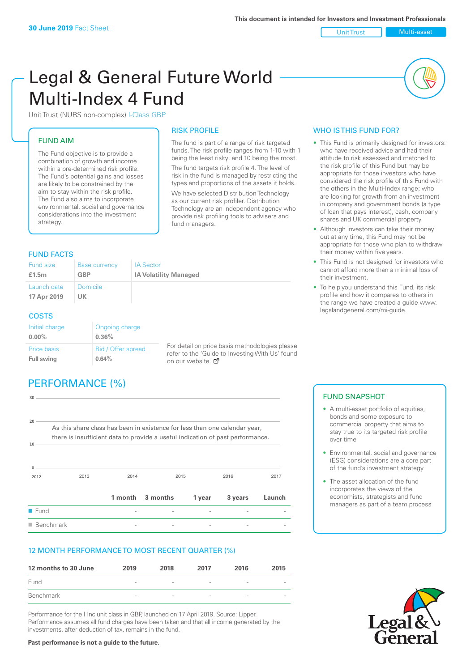Unit Trust Multi-asset

# Legal & General Future World Multi-Index 4 Fund

Unit Trust (NURS non-complex) I-Class GBP

#### FUND AIM

The Fund objective is to provide a combination of growth and income within a pre-determined risk profile. The Fund's potential gains and losses are likely to be constrained by the aim to stay within the risk profile. The Fund also aims to incorporate environmental, social and governance considerations into the investment strategy.

#### FUND FACTS

#### RISK PROFILE

The fund is part of a range of risk targeted funds. The risk profile ranges from 1-10 with 1 being the least risky, and 10 being the most. The fund targets risk profile 4. The level of risk in the fund is managed by restricting the types and proportions of the assets it holds. We have selected Distribution Technology as our current risk profiler. Distribution Technology are an independent agency who provide risk profiling tools to advisers and fund managers.

| Fund size<br>£1.5m         | <b>Base currency</b><br><b>GBP</b> | <b>IA Sector</b><br><b>IA Volatility Managed</b> |
|----------------------------|------------------------------------|--------------------------------------------------|
| Launch date<br>17 Apr 2019 | Domicile<br>UK                     |                                                  |
| <b>COSTS</b>               |                                    |                                                  |

#### Initial charge **0.00%** Ongoing charge **0.36%** Price basis **Full swing** Bid / Offer spread **0.64%**

For detail on price basis methodologies please refer to the 'Guide to Investing With Us' found on our website.

## PERFORMANCE (%)

| $30 -$              |                                                                                |                |                  |        |                |        |
|---------------------|--------------------------------------------------------------------------------|----------------|------------------|--------|----------------|--------|
|                     |                                                                                |                |                  |        |                |        |
| 20                  |                                                                                |                |                  |        |                |        |
|                     | As this share class has been in existence for less than one calendar year,     |                |                  |        |                |        |
|                     | there is insufficient data to provide a useful indication of past performance. |                |                  |        |                |        |
| $10 -$              |                                                                                |                |                  |        |                |        |
|                     |                                                                                |                |                  |        |                |        |
|                     |                                                                                |                |                  |        |                |        |
| 2012                | 2013                                                                           | 2014           | 2015             |        | 2016           | 2017   |
|                     |                                                                                |                |                  |        |                |        |
|                     |                                                                                |                | 1 month 3 months | 1 year | 3 years        | Launch |
| $\blacksquare$ Fund |                                                                                |                |                  |        |                |        |
|                     | $\blacksquare$ Benchmark                                                       | $\overline{a}$ |                  |        | $\overline{a}$ |        |

#### 12 MONTH PERFORMANCE TO MOST RECENT QUARTER (%)

| 12 months to 30 June | 2019                     | 2018                     | 2017                     | 2016                     | 2015 |
|----------------------|--------------------------|--------------------------|--------------------------|--------------------------|------|
| Fund                 | $\overline{\phantom{a}}$ | $\overline{\phantom{a}}$ | $\overline{\phantom{a}}$ | $\overline{\phantom{a}}$ |      |
| Benchmark            | $\overline{\phantom{a}}$ | $\overline{\phantom{a}}$ | $\overline{\phantom{a}}$ | $\overline{\phantom{a}}$ |      |

Performance for the I Inc unit class in GBP, launched on 17 April 2019. Source: Lipper. Performance assumes all fund charges have been taken and that all income generated by the investments, after deduction of tax, remains in the fund.

#### WHO IS THIS FUND FOR?

- This Fund is primarily designed for investors: who have received advice and had their attitude to risk assessed and matched to the risk profile of this Fund but may be appropriate for those investors who have considered the risk profile of this Fund with the others in the Multi-Index range; who are looking for growth from an investment in company and government bonds (a type of loan that pays interest), cash, company shares and UK commercial property.
- Although investors can take their money out at any time, this Fund may not be appropriate for those who plan to withdraw their money within five years.
- This Fund is not designed for investors who cannot afford more than a minimal loss of their investment.
- To help you understand this Fund, its risk profile and how it compares to others in the range we have created a guide www. legalandgeneral.com/mi-guide.

#### FUND SNAPSHOT

- A multi-asset portfolio of equities. bonds and some exposure to commercial property that aims to stay true to its targeted risk profile over time
- Environmental, social and governance (ESG) considerations are a core part of the fund's investment strategy
- The asset allocation of the fund incorporates the views of the economists, strategists and fund managers as part of a team process



#### **Past performance is not a guide to the future.**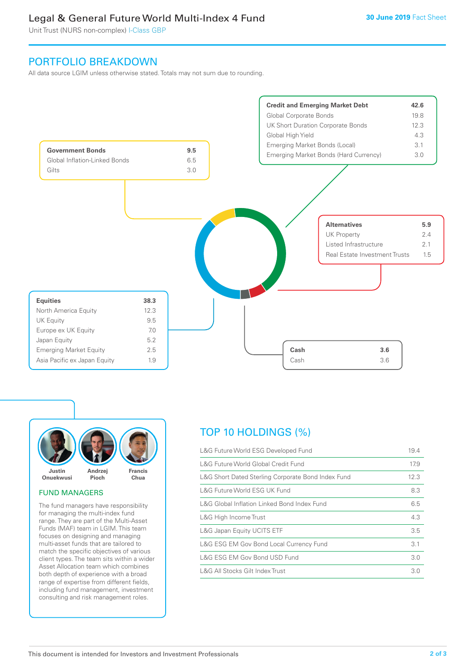### Legal & General Future World Multi-Index 4 Fund

Unit Trust (NURS non-complex) I-Class GBP

### PORTFOLIO BREAKDOWN

All data source LGIM unless otherwise stated. Totals may not sum due to rounding.





#### FUND MANAGERS

The fund managers have responsibility for managing the multi-index fund range. They are part of the Multi-Asset Funds (MAF) team in LGIM. This team focuses on designing and managing multi-asset funds that are tailored to match the specific objectives of various client types. The team sits within a wider Asset Allocation team which combines both depth of experience with a broad range of expertise from different fields, including fund management, investment consulting and risk management roles.

### TOP 10 HOLDINGS (%)

| L&G Future World ESG Developed Fund                | 19.4 |
|----------------------------------------------------|------|
| L&G Future World Global Credit Fund                | 17.9 |
| L&G Short Dated Sterling Corporate Bond Index Fund | 12.3 |
| L&G Future World ESG UK Fund                       | 8.3  |
| L&G Global Inflation Linked Bond Index Fund        | 6.5  |
| L&G High Income Trust                              | 4.3  |
| L&G Japan Equity UCITS ETF                         | 3.5  |
| L&G ESG EM Gov Bond Local Currency Fund            | 3.1  |
| L&G ESG EM Gov Bond USD Fund                       | 3.0  |
| L&G All Stocks Gilt Index Trust                    | 3.0  |